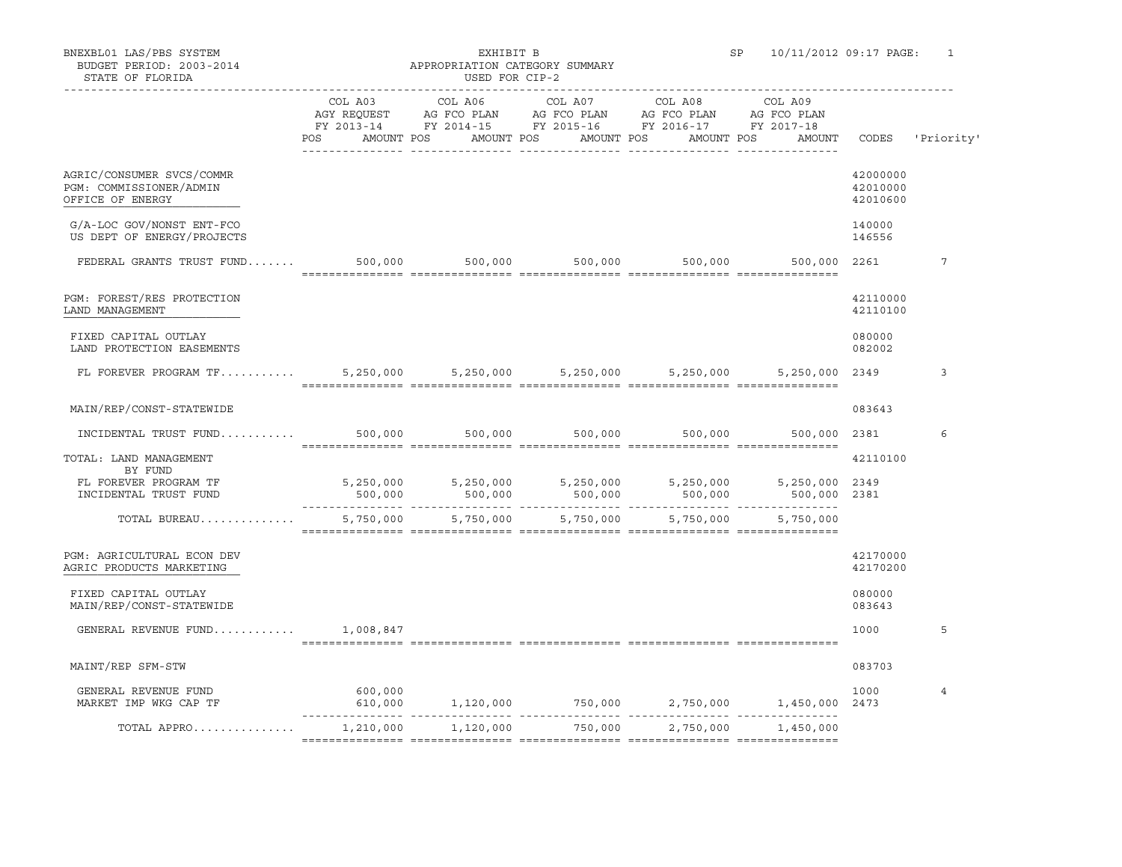## BUDGET PERIOD: 2003-2014 **APPROPRIATION CATEGORY SUMMARY**

|                                                                                        | POS       | AMOUNT POS AMOUNT POS |                     | FY 2013-14 FY 2014-15 FY 2015-16 FY 2016-17 FY 2017-18<br>AMOUNT POS | AMOUNT POS<br>AMOUNT                                 |                                  | CODES 'Priority' |
|----------------------------------------------------------------------------------------|-----------|-----------------------|---------------------|----------------------------------------------------------------------|------------------------------------------------------|----------------------------------|------------------|
| AGRIC/CONSUMER SVCS/COMMR<br>PGM: COMMISSIONER/ADMIN<br>OFFICE OF ENERGY               |           |                       |                     |                                                                      |                                                      | 42000000<br>42010000<br>42010600 |                  |
| G/A-LOC GOV/NONST ENT-FCO<br>US DEPT OF ENERGY/PROJECTS                                |           |                       |                     |                                                                      |                                                      | 140000<br>146556                 |                  |
| FEDERAL GRANTS TRUST FUND                                                              |           |                       |                     |                                                                      | 500,000 500,000 500,000 500,000 500,000 500,000 2261 |                                  | 7                |
| PGM: FOREST/RES PROTECTION<br>LAND MANAGEMENT                                          |           |                       |                     |                                                                      |                                                      | 42110000<br>42110100             |                  |
| FIXED CAPITAL OUTLAY<br>LAND PROTECTION EASEMENTS                                      |           |                       |                     |                                                                      |                                                      | 080000<br>082002                 |                  |
| FL FOREVER PROGRAM TF 5,250,000 5,250,000 5,250,000 5,250,000 5,250,000 5,250,000 2349 |           |                       |                     |                                                                      |                                                      |                                  | 3                |
| MAIN/REP/CONST-STATEWIDE                                                               |           |                       |                     |                                                                      |                                                      | 083643                           |                  |
| $\texttt{INCIDENTIAL}$ TRUST FUND 500,000 500,000 500,000 500,000 500,000              |           |                       |                     |                                                                      | 500,000 2381                                         |                                  | 6                |
| TOTAL: LAND MANAGEMENT                                                                 |           |                       |                     |                                                                      |                                                      | 42110100                         |                  |
| BY FUND<br>FL FOREVER PROGRAM TF<br>INCIDENTAL TRUST FUND                              |           |                       |                     |                                                                      |                                                      |                                  |                  |
| TOTAL BUREAU                                                                           | 5,750,000 |                       | 5,750,000 5,750,000 |                                                                      | 5,750,000 5,750,000                                  |                                  |                  |
| PGM: AGRICULTURAL ECON DEV<br>AGRIC PRODUCTS MARKETING                                 |           |                       |                     |                                                                      |                                                      | 42170000<br>42170200             |                  |
| FIXED CAPITAL OUTLAY<br>MAIN/REP/CONST-STATEWIDE                                       |           |                       |                     |                                                                      |                                                      | 080000<br>083643                 |                  |
| GENERAL REVENUE FUND                                                                   | 1,008,847 |                       |                     |                                                                      |                                                      | 1000                             | 5                |
| MAINT/REP SFM-STW                                                                      |           |                       |                     |                                                                      |                                                      | 083703                           |                  |
| GENERAL REVENUE FUND<br>MARKET IMP WKG CAP TF                                          | 600,000   |                       |                     |                                                                      | $610,000$ 1,120,000 750,000 2,750,000 1,450,000 2473 | 1000                             | $\overline{4}$   |
| TOTAL APPRO                                                                            | 1,210,000 | 1,120,000             | 750,000             | 2,750,000                                                            | 1,450,000                                            |                                  |                  |
|                                                                                        |           |                       |                     |                                                                      |                                                      |                                  |                  |